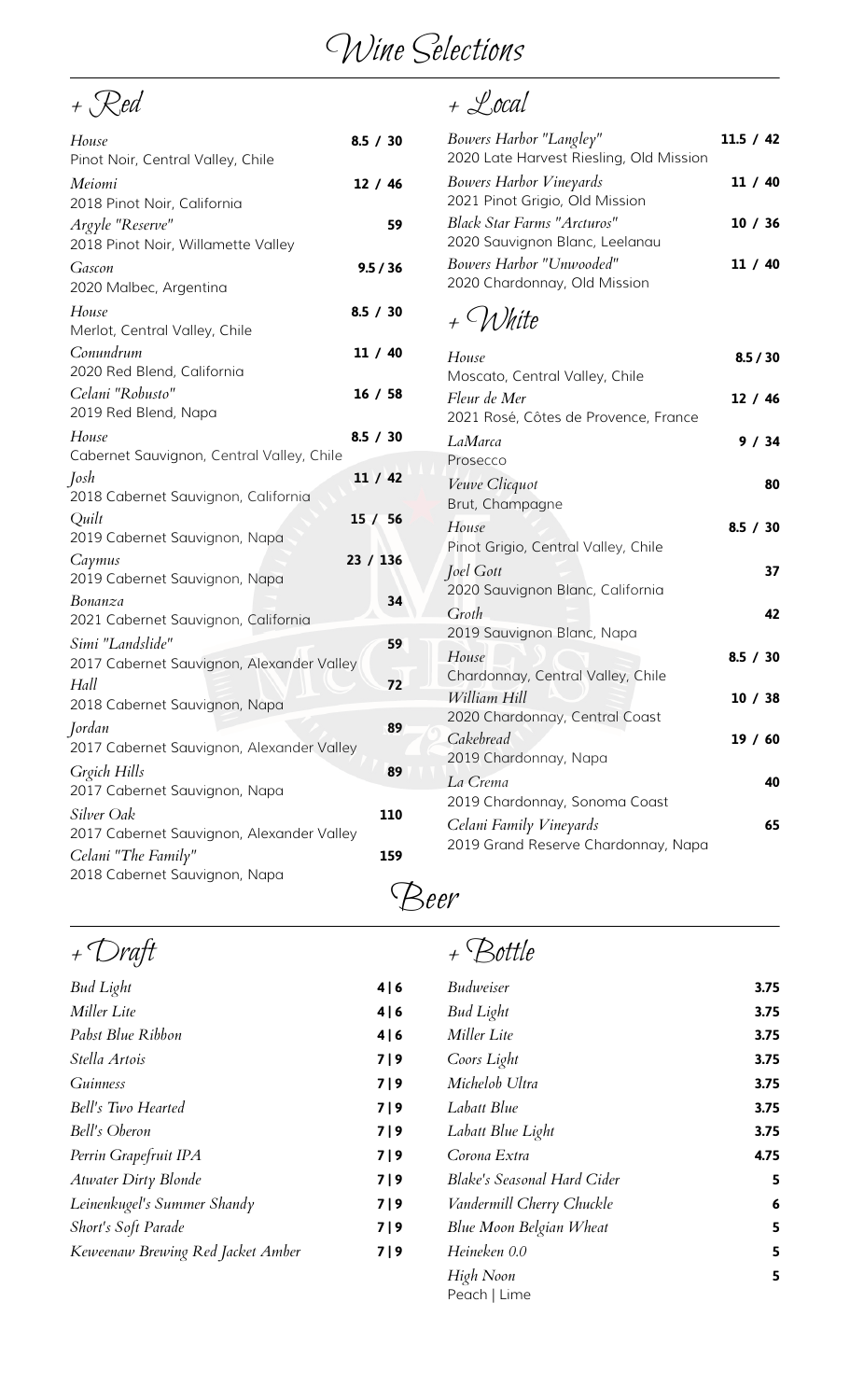# Wine Selections

 $+$  Red  $+$  Local

| House<br>Pinot Noir, Central Valley, Chile                    | 8.5 / 30 | Bowers Harbor "Langley"<br>2020 Late Harvest Riesling, Old Mission   | 11.5 / 42 |
|---------------------------------------------------------------|----------|----------------------------------------------------------------------|-----------|
| Meiomi<br>2018 Pinot Noir, California                         | 12 / 46  | <b>Bowers Harbor Vineyards</b><br>2021 Pinot Grigio, Old Mission     | 11 / 40   |
| Argyle "Reserve"<br>2018 Pinot Noir, Willamette Valley        | 59       | <b>Black Star Farms "Arcturos"</b><br>2020 Sauvignon Blanc, Leelanau | 10/36     |
| Gascon<br>2020 Malbec, Argentina                              | 9.5 / 36 | Bowers Harbor "Unwooded"<br>2020 Chardonnay, Old Mission             | 11 / 40   |
| House<br>Merlot, Central Valley, Chile                        | 8.5 / 30 | + White                                                              |           |
| Conundrum<br>2020 Red Blend, California                       | 11 / 40  | House<br>Moscato, Central Valley, Chile                              | 8.5 / 30  |
| Celani "Robusto"<br>2019 Red Blend, Napa                      | 16 / 58  | Fleur de Mer<br>2021 Rosé, Côtes de Provence, France                 | 12/46     |
| House<br>Cabernet Sauvignon, Central Valley, Chile            | 8.5 / 30 | LaMarca<br>Prosecco                                                  | 9/34      |
| Josh<br>2018 Cabernet Sauvignon, California                   | 11 / 42  | Veuve Clicquot<br>Brut, Champagne                                    | 80        |
| Quilt<br>2019 Cabernet Sauvignon, Napa                        | 15 / 56  | House<br>Pinot Grigio, Central Valley, Chile                         | 8.5 / 30  |
| Caymus<br>2019 Cabernet Sauvignon, Napa                       | 23 / 136 | <i>Joel Gott</i><br>2020 Sauvignon Blanc, California                 | 37        |
| Bonanza<br>2021 Cabernet Sauvignon, California                | 34       | Groth<br>2019 Sauvignon Blanc, Napa                                  | 42        |
| Simi "Landslide"<br>2017 Cabernet Sauvignon, Alexander Valley | 59       | House<br>Chardonnay, Central Valley, Chile                           | 8.5 / 30  |
| Hall<br>2018 Cabernet Sauvignon, Napa                         | 72       | William Hill<br>2020 Chardonnay, Central Coast                       | 10/38     |
| Jordan<br>2017 Cabernet Sauvignon, Alexander Valley           | 89       | Cakebread<br>2019 Chardonnay, Napa                                   | 19/60     |
| Grgich Hills<br>2017 Cabernet Sauvignon, Napa                 | 89       | La Crema<br>2019 Chardonnay, Sonoma Coast                            | 40        |
| Silver Oak<br>2017 Cabernet Sauvignon, Alexander Valley       | 110      | Celani Family Vineyards<br>2019 Grand Reserve Chardonnay, Napa       | 65        |
| Celani "The Family"<br>2018 Cabernet Sauvignon, Napa          | 159      |                                                                      |           |

| Bowers Harbor "Langley"<br>2020 Late Harvest Riesling, Old Mission   | 11.5 / 42 |
|----------------------------------------------------------------------|-----------|
| <b>Bowers Harbor Vineyards</b><br>2021 Pinot Grigio, Old Mission     | 11 / 40   |
| <b>Black Star Farms "Arcturos"</b><br>2020 Sauvignon Blanc, Leelanau | 10/36     |
| Bowers Harbor "Unwooded"<br>2020 Chardonnay, Old Mission             | 11 / 40   |

## + White

| House                                | 8.5 / 30                                                                                                                                                                                                                                                      |             |
|--------------------------------------|---------------------------------------------------------------------------------------------------------------------------------------------------------------------------------------------------------------------------------------------------------------|-------------|
|                                      |                                                                                                                                                                                                                                                               |             |
| 2021 Rosé, Côtes de Provence, France |                                                                                                                                                                                                                                                               |             |
| LaMarca                              | 9/34                                                                                                                                                                                                                                                          |             |
| Veuve Clicquot                       | 80                                                                                                                                                                                                                                                            |             |
| House                                | 8.5 / 30                                                                                                                                                                                                                                                      |             |
| Pinot Grigio, Central Valley, Chile  |                                                                                                                                                                                                                                                               |             |
| 2020 Sauvignon Blanc, California     |                                                                                                                                                                                                                                                               |             |
| Groth<br>2019 Sauvignon Blanc, Napa  | 42                                                                                                                                                                                                                                                            |             |
| House                                | 8.5 / 30                                                                                                                                                                                                                                                      |             |
| William Hill                         | 10/38                                                                                                                                                                                                                                                         |             |
| Cakebread                            | 19/60                                                                                                                                                                                                                                                         |             |
| La Crema                             | 40                                                                                                                                                                                                                                                            |             |
|                                      | 65                                                                                                                                                                                                                                                            |             |
| 2019 Grand Reserve Chardonnay, Napa  |                                                                                                                                                                                                                                                               |             |
|                                      | Moscato, Central Valley, Chile<br>Fleur de Mer<br>Prosecco<br>Brut, Champagne<br><i>Joel Gott</i><br>Chardonnay, Central Valley, Chile<br>2020 Chardonnay, Central Coast<br>2019 Chardonnay, Napa<br>2019 Chardonnay, Sonoma Coast<br>Celani Family Vineyards | 12/46<br>37 |

Beer

| + Draft                           |     |                                    |                 |
|-----------------------------------|-----|------------------------------------|-----------------|
| <b>Bud Light</b>                  | 4 6 | <b>Budweiser</b>                   | 3.75            |
| Miller Lite                       | 4 6 | <b>Bud Light</b>                   | 3.75            |
| Pabst Blue Ribbon                 | 4 6 | Miller Lite                        | 3.75            |
| Stella Artois                     | 7 9 | Coors Light                        | 3.75            |
| <b>Guinness</b>                   | 7 9 | Michelob Ultra                     | 3.75            |
| Bell's Two Hearted                | 7 9 | Labatt Blue                        | 3.75            |
| Bell's Oberon                     | 7 9 | Labatt Blue Light                  | 3.75            |
| Perrin Grapefruit IPA             | 7 9 | Corona Extra                       | 4.75            |
| <b>Atwater Dirty Blonde</b>       | 7 9 | <b>Blake's Seasonal Hard Cider</b> | 5               |
| Leinenkugel's Summer Shandy       | 7 9 | Vandermill Cherry Chuckle          | $6\phantom{1}6$ |
| Short's Soft Parade               | 7 9 | Blue Moon Belgian Wheat            | 5               |
| Keweenaw Brewing Red Jacket Amber | 7 9 | Heineken 0.0                       | 5               |
|                                   |     | High Noon<br>Peach   Lime          | 5               |